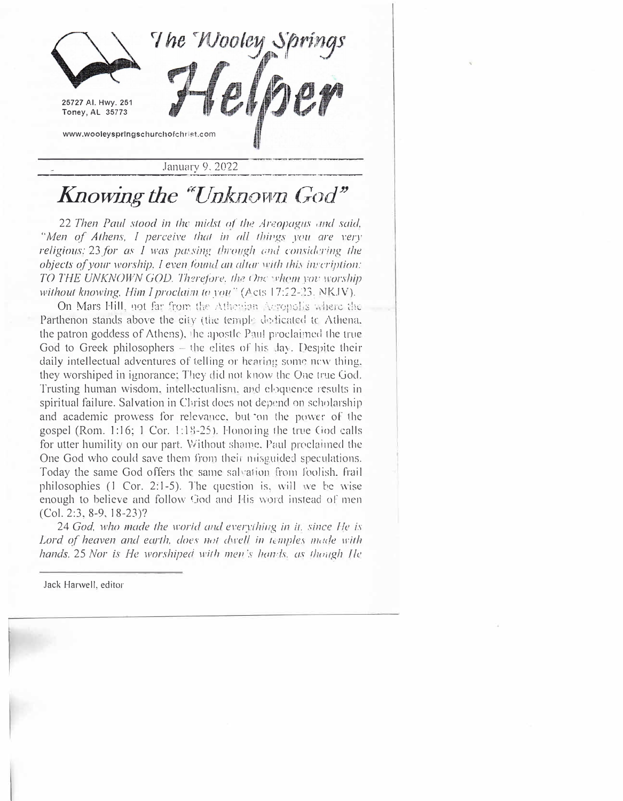

January 9, 2022

## Knowing the "Unknown God"

22 Then Paul stood in the midst of the Areopagus and said, "Men of Athens, I perceive that in all things you are very religious: 23 for as I was passing through and considering the objects of your worship, I even found an altar with this inscription: TO THE UNKNOWN GOD. Therefore, the One whom you worship without knowing, Him I proclaim to you" (Acts 17:22-23, NKJV).

On Mars Hill, not far from the Athenian Acronolis where the Parthenon stands above the city (the temple dedicated to Athena, the patron goddess of Athens), the apostle Paul proclaimed the true God to Greek philosophers – the elites of his day. Despite their daily intellectual adventures of telling or hearing some new thing. they worshiped in ignorance; They did not know the One true God. Trusting human wisdom, intellectualism, and eloquence results in spiritual failure. Salvation in Christ does not depend on scholarship and academic prowess for relevance, but on the power of the gospel (Rom. 1:16; 1 Cor. 1:18-25). Honoring the true God calls for utter humility on our part. Without shame, Paul proclaimed the One God who could save them from their misguided speculations. Today the same God offers the same salvation from foolish, frail philosophies (1 Cor. 2:1-5). The question is, will we be wise enough to believe and follow God and His word instead of men  $(Col. 2:3, 8-9, 18-23)?$ 

24 God, who made the world and everything in it, since He is Lord of heaven and earth, does not dwell in temples made with hands. 25 Nor is He worshiped with men's hands, as though He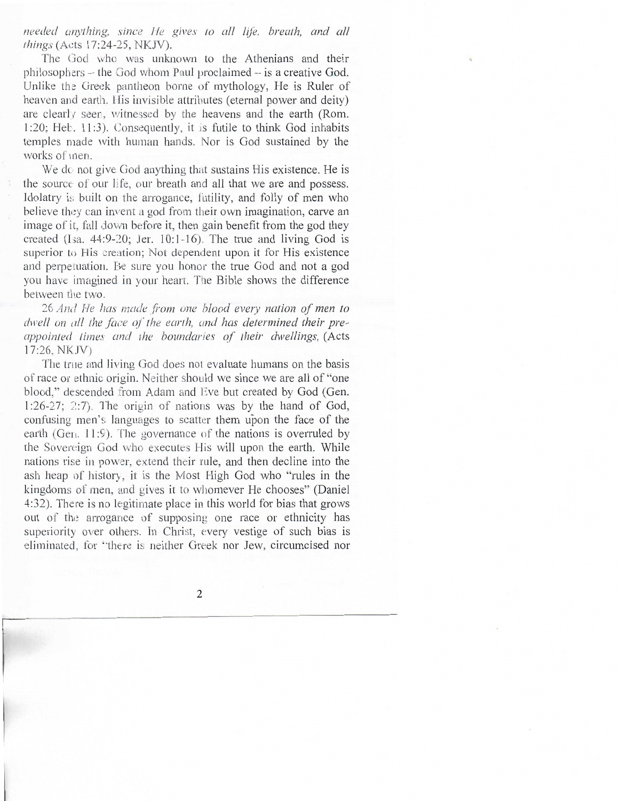needed anything, since He gives to all life, breath, and all things (Acts 17:24-25, NKJV).

The God who was unknown to the Athenians and their philosophers - the God whom Paul proclaimed - is a creative God. Unlike the Greek pantheon borne of mythology, He is Ruler of heaven and earth. His invisible attributes (eternal power and deity) are clearly seen, witnessed by the heavens and the earth (Rom. 1:20; Heb. 11:3). Consequently, it is futile to think God inhabits temples made with human hands. Nor is God sustained by the works of men.

We do not give God anything that sustains His existence. He is the source of our life, our breath and all that we are and possess. Idolatry is built on the arrogance, futility, and folly of men who believe they can invent a god from their own imagination, carve an image of it, fall down before it, then gain benefit from the god they created (Isa. 44:9-20: Jer. 10:1-16). The true and living God is superior to His creation; Not dependent upon it for His existence and perpetuation. Be sure you honor the true God and not a god you have imagined in your heart. The Bible shows the difference between the two.

26 And He has made from one blood every nation of men to dwell on all the face of the earth, and has determined their preappointed times and the boundaries of their dwellings, (Acts 17:26, NKJV)

The true and living God does not evaluate humans on the basis of race or ethnic origin. Neither should we since we are all of "one blood." descended from Adam and Eve but created by God (Gen.  $1:26-27$ ;  $2:7$ ). The origin of nations was by the hand of God, confusing men's languages to scatter them upon the face of the earth (Gen. 11:9). The governance of the nations is overruled by the Sovereign God who executes His will upon the earth. While nations rise in power, extend their rule, and then decline into the ash heap of history, it is the Most High God who "rules in the kingdoms of men, and gives it to whomever He chooses" (Daniel 4:32). There is no legitimate place in this world for bias that grows out of the arrogance of supposing one race or ethnicity has superiority over others. In Christ, every vestige of such bias is eliminated, for "there is neither Greek nor Jew, circumcised nor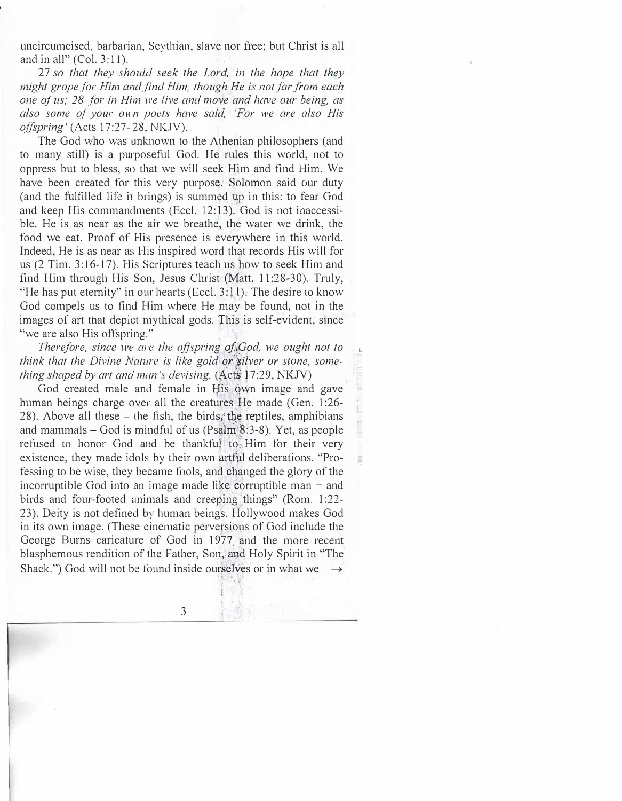uncircumcised, barbarian, Scythian, slave nor free; but Christ is all and in all" (Col. 3:11).

27 *so that they should seek the Lord, in the hope that they might grope for Him and.find Him, though He is not far from each one o f us; 28 for in Him we five and move and have our being, as also some of your own poets have said, 'For we are also His offspring'* (Acts 17:27-28, NKJV).

The God who was unknown to the Athenian philosophers (and to many still) is a purposeful God. He rules this world, not to oppress but to bless, so that we will seek Him and find Him. We have been created for this very purpose. Solomon said our duty (and the fulfilled life it brings) is summed up in this: to fear God and keep His commandments (Eccl. 12:13). God is not inaccessible. He is as near as the air we breathe, the water we drink, the food we eat. Proof of His presence is everywhere in this world. Indeed, He is as near as His inspired word that records His will for us (2 Tim. 3: 16-17). His Scriptures teach us how to seek Him and find Him through His Son, Jesus Christ (Matt. 11:28-30). Truly, "He has put eternity" in our hearts (Eccl.  $3:11$ ). The desire to know God compels us to find Him where He may be found, not in the images of art that depict mythical gods. This is self-evident, since "we are also His offspring."

*Therefore, since we are the offspring of God, we ought not to think that the Divine Nature is like gold or slover or stone, something shaped by art and man's devising.* (Acts 17:29, NKJV)

I

God created male and female in His own image and gave human beings charge over all the creatures He made (Gen. 1:26- $28$ ). Above all these  $-$  the fish, the birds, the reptiles, amphibians and mammals  $-$  God is mindful of us (Psalm  $8:3-8$ ). Yet, as people refused to honor God and be thankful' to *i.* Him for their very existence, they made idols by their own artful deliberations. "Professing to be wise, they became fools, and changed the glory of the incorruptible God into an image made like corruptible man  $-$  and birds and four-footed animals and creeping things" (Rom. 1:22-23). Deity is not defined by human beings. Hollywood makes God in its own image. (These cinematic perversions of God include the George Burns caricature of God in 1977 and the more recent blasphemous rendition of the Father, Son, and Holy Spirit in "The Shack.") God will not be found inside ourselves or in what we  $\rightarrow$ 

3

f: - .I. I  $5, 4, 7, 7$